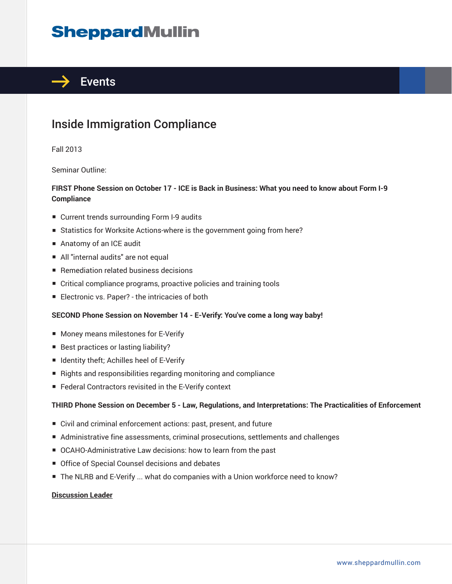# **SheppardMullin**



### Inside Immigration Compliance

Fall 2013

Seminar Outline:

#### **FIRST Phone Session on October 17 - ICE is Back in Business: What you need to know about Form I-9 Compliance**

- Current trends surrounding Form I-9 audits
- Statistics for Worksite Actions-where is the government going from here?
- Anatomy of an ICE audit
- All "internal audits" are not equal
- Remediation related business decisions
- Critical compliance programs, proactive policies and training tools
- Electronic vs. Paper? the intricacies of both

#### **SECOND Phone Session on November 14 - E-Verify: You've come a long way baby!**

- Money means milestones for E-Verify
- Best practices or lasting liability?
- Identity theft; Achilles heel of E-Verify
- Rights and responsibilities regarding monitoring and compliance
- Federal Contractors revisited in the E-Verify context

#### **THIRD Phone Session on December 5 - Law, Regulations, and Interpretations: The Practicalities of Enforcement**

- Civil and criminal enforcement actions: past, present, and future
- Administrative fine assessments, criminal prosecutions, settlements and challenges
- OCAHO-Administrative Law decisions: how to learn from the past
- Office of Special Counsel decisions and debates
- The NLRB and E-Verify ... what do companies with a Union workforce need to know?

#### **Discussion Leader**